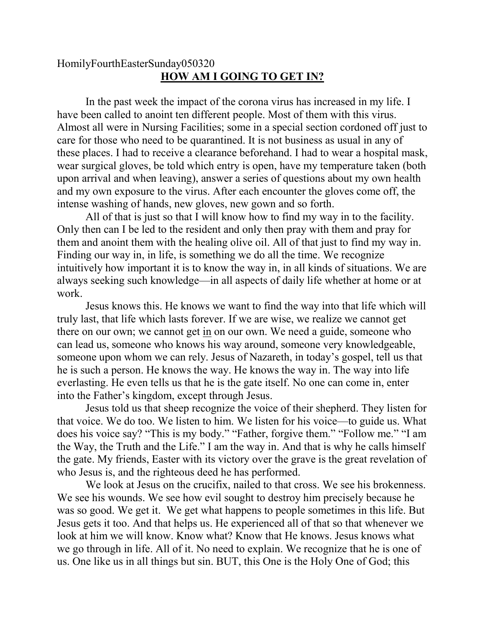## HomilyFourthEasterSunday050320 **HOW AM I GOING TO GET IN?**

In the past week the impact of the corona virus has increased in my life. I have been called to anoint ten different people. Most of them with this virus. Almost all were in Nursing Facilities; some in a special section cordoned off just to care for those who need to be quarantined. It is not business as usual in any of these places. I had to receive a clearance beforehand. I had to wear a hospital mask, wear surgical gloves, be told which entry is open, have my temperature taken (both upon arrival and when leaving), answer a series of questions about my own health and my own exposure to the virus. After each encounter the gloves come off, the intense washing of hands, new gloves, new gown and so forth.

All of that is just so that I will know how to find my way in to the facility. Only then can I be led to the resident and only then pray with them and pray for them and anoint them with the healing olive oil. All of that just to find my way in. Finding our way in, in life, is something we do all the time. We recognize intuitively how important it is to know the way in, in all kinds of situations. We are always seeking such knowledge—in all aspects of daily life whether at home or at work.

Jesus knows this. He knows we want to find the way into that life which will truly last, that life which lasts forever. If we are wise, we realize we cannot get there on our own; we cannot get in on our own. We need a guide, someone who can lead us, someone who knows his way around, someone very knowledgeable, someone upon whom we can rely. Jesus of Nazareth, in today's gospel, tell us that he is such a person. He knows the way. He knows the way in. The way into life everlasting. He even tells us that he is the gate itself. No one can come in, enter into the Father's kingdom, except through Jesus.

Jesus told us that sheep recognize the voice of their shepherd. They listen for that voice. We do too. We listen to him. We listen for his voice—to guide us. What does his voice say? "This is my body." "Father, forgive them." "Follow me." "I am the Way, the Truth and the Life." I am the way in. And that is why he calls himself the gate. My friends, Easter with its victory over the grave is the great revelation of who Jesus is, and the righteous deed he has performed.

We look at Jesus on the crucifix, nailed to that cross. We see his brokenness. We see his wounds. We see how evil sought to destroy him precisely because he was so good. We get it. We get what happens to people sometimes in this life. But Jesus gets it too. And that helps us. He experienced all of that so that whenever we look at him we will know. Know what? Know that He knows. Jesus knows what we go through in life. All of it. No need to explain. We recognize that he is one of us. One like us in all things but sin. BUT, this One is the Holy One of God; this